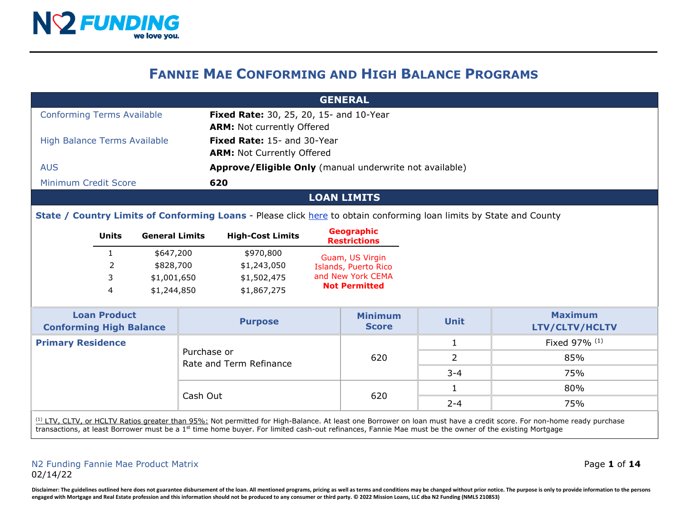

## **FANNIE MAE CONFORMING AND HIGH BALANCE PROGRAMS**

|                                                                                                                                                                                                                                                                                                                                           | <b>GENERAL</b>                                                     |                         |                                                                              |                                                                                                                     |                                |                      |                                  |               |
|-------------------------------------------------------------------------------------------------------------------------------------------------------------------------------------------------------------------------------------------------------------------------------------------------------------------------------------------|--------------------------------------------------------------------|-------------------------|------------------------------------------------------------------------------|---------------------------------------------------------------------------------------------------------------------|--------------------------------|----------------------|----------------------------------|---------------|
| <b>Conforming Terms Available</b>                                                                                                                                                                                                                                                                                                         |                                                                    |                         | Fixed Rate: 30, 25, 20, 15- and 10-Year<br><b>ARM: Not currently Offered</b> |                                                                                                                     |                                |                      |                                  |               |
| <b>High Balance Terms Available</b>                                                                                                                                                                                                                                                                                                       |                                                                    |                         |                                                                              | Fixed Rate: 15- and 30-Year<br><b>ARM: Not Currently Offered</b>                                                    |                                |                      |                                  |               |
| <b>AUS</b>                                                                                                                                                                                                                                                                                                                                |                                                                    |                         | Approve/Eligible Only (manual underwrite not available)                      |                                                                                                                     |                                |                      |                                  |               |
| Minimum Credit Score                                                                                                                                                                                                                                                                                                                      |                                                                    |                         |                                                                              | 620                                                                                                                 |                                |                      |                                  |               |
|                                                                                                                                                                                                                                                                                                                                           |                                                                    |                         |                                                                              |                                                                                                                     |                                | <b>LOAN LIMITS</b>   |                                  |               |
|                                                                                                                                                                                                                                                                                                                                           |                                                                    |                         |                                                                              | State / Country Limits of Conforming Loans - Please click here to obtain conforming loan limits by State and County |                                |                      |                                  |               |
| <b>General Limits</b><br><b>Units</b>                                                                                                                                                                                                                                                                                                     |                                                                    | <b>High-Cost Limits</b> |                                                                              | <b>Geographic</b><br><b>Restrictions</b>                                                                            |                                |                      |                                  |               |
|                                                                                                                                                                                                                                                                                                                                           | 1                                                                  | \$647,200               |                                                                              | \$970,800                                                                                                           |                                | Guam, US Virgin      |                                  |               |
|                                                                                                                                                                                                                                                                                                                                           | 2                                                                  | \$828,700               |                                                                              | \$1,243,050                                                                                                         |                                | Islands, Puerto Rico |                                  |               |
|                                                                                                                                                                                                                                                                                                                                           | 3<br>\$1,001,650<br>\$1,502,475<br>4<br>\$1,244,850<br>\$1,867,275 |                         | and New York CEMA                                                            |                                                                                                                     |                                |                      |                                  |               |
|                                                                                                                                                                                                                                                                                                                                           |                                                                    |                         |                                                                              |                                                                                                                     | <b>Not Permitted</b>           |                      |                                  |               |
| <b>Loan Product</b><br><b>Conforming High Balance</b>                                                                                                                                                                                                                                                                                     |                                                                    |                         | <b>Purpose</b>                                                               |                                                                                                                     | <b>Minimum</b><br><b>Score</b> | <b>Unit</b>          | <b>Maximum</b><br>LTV/CLTV/HCLTV |               |
| <b>Primary Residence</b>                                                                                                                                                                                                                                                                                                                  |                                                                    |                         |                                                                              |                                                                                                                     |                                |                      | 1                                | Fixed 97% (1) |
|                                                                                                                                                                                                                                                                                                                                           |                                                                    |                         |                                                                              | Purchase or<br>Rate and Term Refinance                                                                              |                                | 620                  | $\mathcal{L}$                    | 85%           |
|                                                                                                                                                                                                                                                                                                                                           |                                                                    |                         |                                                                              |                                                                                                                     |                                | $3 - 4$              | 75%                              |               |
|                                                                                                                                                                                                                                                                                                                                           |                                                                    |                         | Cash Out                                                                     |                                                                                                                     | 620                            | 1                    | 80%                              |               |
|                                                                                                                                                                                                                                                                                                                                           |                                                                    |                         |                                                                              |                                                                                                                     |                                | $2 - 4$              | 75%                              |               |
| (1) LTV, CLTV, or HCLTV Ratios greater than 95%; Not permitted for High-Balance. At least one Borrower on loan must have a credit score. For non-home ready purchase<br>transactions, at least Borrower must be a 1 <sup>st</sup> time home buyer. For limited cash-out refinances, Fannie Mae must be the owner of the existing Mortgage |                                                                    |                         |                                                                              |                                                                                                                     |                                |                      |                                  |               |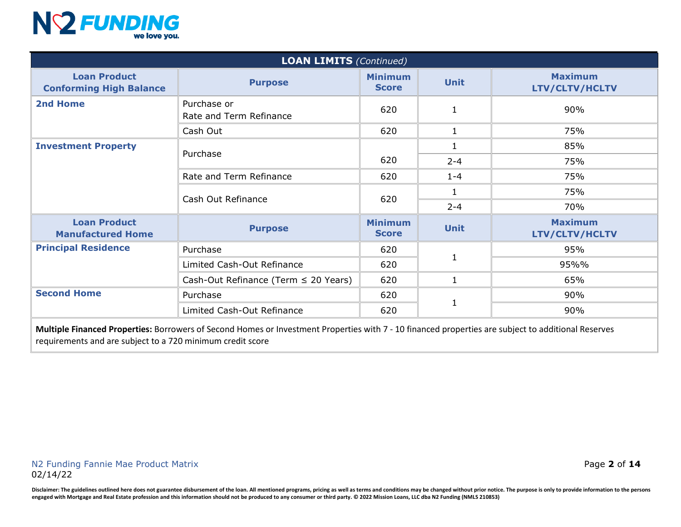

| <b>LOAN LIMITS (Continued)</b>                                          |                                           |                                |              |                                  |  |  |
|-------------------------------------------------------------------------|-------------------------------------------|--------------------------------|--------------|----------------------------------|--|--|
| <b>Loan Product</b><br><b>Purpose</b><br><b>Conforming High Balance</b> |                                           | <b>Minimum</b><br><b>Score</b> | <b>Unit</b>  | <b>Maximum</b><br>LTV/CLTV/HCLTV |  |  |
| 2nd Home                                                                | Purchase or<br>Rate and Term Refinance    | 620                            | $\mathbf{1}$ | 90%                              |  |  |
|                                                                         | Cash Out                                  | 620                            | $\mathbf{1}$ | 75%                              |  |  |
| <b>Investment Property</b>                                              |                                           |                                | 1            | 85%                              |  |  |
|                                                                         | Purchase                                  | 620                            | $2 - 4$      | 75%                              |  |  |
|                                                                         | Rate and Term Refinance                   | 620                            | $1 - 4$      | 75%                              |  |  |
|                                                                         |                                           | 620                            | $\mathbf{1}$ | 75%                              |  |  |
|                                                                         | Cash Out Refinance                        |                                | $2 - 4$      | 70%                              |  |  |
| <b>Loan Product</b><br><b>Manufactured Home</b>                         | <b>Purpose</b>                            | <b>Minimum</b><br><b>Score</b> | <b>Unit</b>  | <b>Maximum</b><br>LTV/CLTV/HCLTV |  |  |
| <b>Principal Residence</b>                                              | Purchase                                  | 620                            | $\mathbf{1}$ | 95%                              |  |  |
|                                                                         | Limited Cash-Out Refinance                | 620                            |              | 95%%                             |  |  |
|                                                                         | Cash-Out Refinance (Term $\leq$ 20 Years) | 620                            | $\mathbf{1}$ | 65%                              |  |  |
| <b>Second Home</b>                                                      | Purchase                                  | 620                            |              | 90%                              |  |  |
|                                                                         | Limited Cash-Out Refinance                | 620                            | $\mathbf{1}$ | 90%                              |  |  |

**Multiple Financed Properties:** Borrowers of Second Homes or Investment Properties with 7 - 10 financed properties are subject to additional Reserves requirements and are subject to a 720 minimum credit score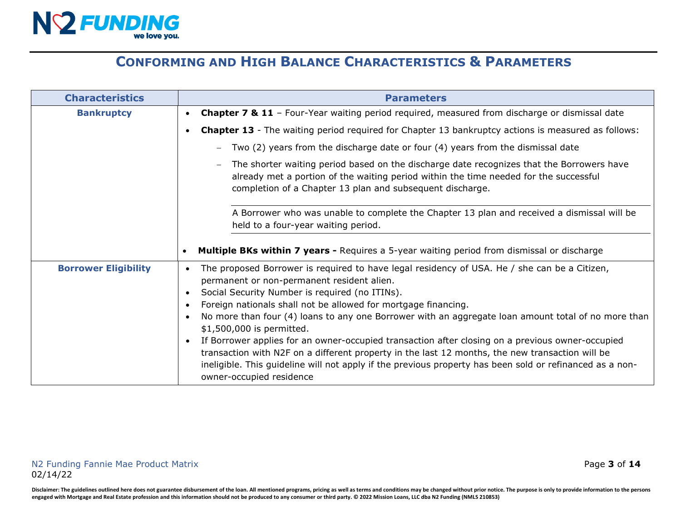

# **CONFORMING AND HIGH BALANCE CHARACTERISTICS & PARAMETERS**

| <b>Characteristics</b>      | <b>Parameters</b>                                                                                                                                                                                                                                                                                                                                                                                                                                                                                                                                                                                                                                                                                                                                                                                                  |  |  |
|-----------------------------|--------------------------------------------------------------------------------------------------------------------------------------------------------------------------------------------------------------------------------------------------------------------------------------------------------------------------------------------------------------------------------------------------------------------------------------------------------------------------------------------------------------------------------------------------------------------------------------------------------------------------------------------------------------------------------------------------------------------------------------------------------------------------------------------------------------------|--|--|
| <b>Bankruptcy</b>           | Chapter 7 & 11 - Four-Year waiting period required, measured from discharge or dismissal date<br>$\bullet$                                                                                                                                                                                                                                                                                                                                                                                                                                                                                                                                                                                                                                                                                                         |  |  |
|                             | <b>Chapter 13</b> - The waiting period required for Chapter 13 bankruptcy actions is measured as follows:<br>$\bullet$                                                                                                                                                                                                                                                                                                                                                                                                                                                                                                                                                                                                                                                                                             |  |  |
|                             | Two (2) years from the discharge date or four (4) years from the dismissal date                                                                                                                                                                                                                                                                                                                                                                                                                                                                                                                                                                                                                                                                                                                                    |  |  |
|                             | The shorter waiting period based on the discharge date recognizes that the Borrowers have<br>already met a portion of the waiting period within the time needed for the successful<br>completion of a Chapter 13 plan and subsequent discharge.                                                                                                                                                                                                                                                                                                                                                                                                                                                                                                                                                                    |  |  |
|                             | A Borrower who was unable to complete the Chapter 13 plan and received a dismissal will be<br>held to a four-year waiting period.                                                                                                                                                                                                                                                                                                                                                                                                                                                                                                                                                                                                                                                                                  |  |  |
|                             | <b>Multiple BKs within 7 years - Requires a 5-year waiting period from dismissal or discharge</b>                                                                                                                                                                                                                                                                                                                                                                                                                                                                                                                                                                                                                                                                                                                  |  |  |
| <b>Borrower Eligibility</b> | The proposed Borrower is required to have legal residency of USA. He / she can be a Citizen,<br>$\bullet$<br>permanent or non-permanent resident alien.<br>Social Security Number is required (no ITINs).<br>$\bullet$<br>Foreign nationals shall not be allowed for mortgage financing.<br>$\bullet$<br>No more than four (4) loans to any one Borrower with an aggregate loan amount total of no more than<br>$\bullet$<br>\$1,500,000 is permitted.<br>If Borrower applies for an owner-occupied transaction after closing on a previous owner-occupied<br>$\bullet$<br>transaction with N2F on a different property in the last 12 months, the new transaction will be<br>ineligible. This guideline will not apply if the previous property has been sold or refinanced as a non-<br>owner-occupied residence |  |  |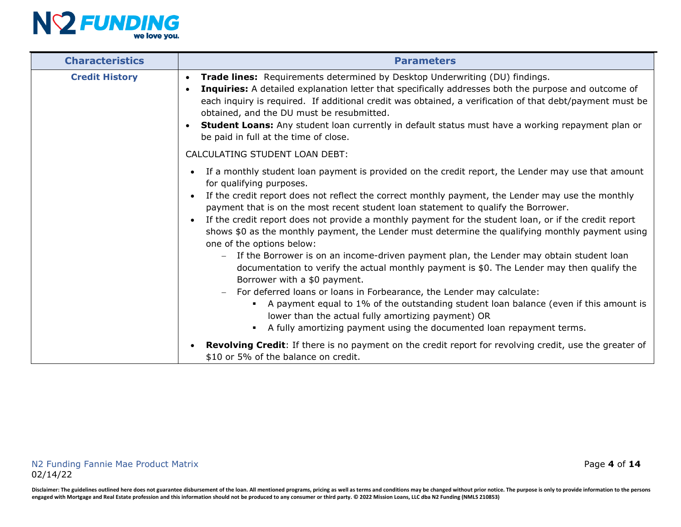

| <b>Characteristics</b> | <b>Parameters</b>                                                                                                                                                                                                                                                                                                                                                                                                                                                                                                                                                                                                                                                                                                                                                                                                                                                                                                                                                                                                                                                                                              |  |  |
|------------------------|----------------------------------------------------------------------------------------------------------------------------------------------------------------------------------------------------------------------------------------------------------------------------------------------------------------------------------------------------------------------------------------------------------------------------------------------------------------------------------------------------------------------------------------------------------------------------------------------------------------------------------------------------------------------------------------------------------------------------------------------------------------------------------------------------------------------------------------------------------------------------------------------------------------------------------------------------------------------------------------------------------------------------------------------------------------------------------------------------------------|--|--|
| <b>Credit History</b>  | Trade lines: Requirements determined by Desktop Underwriting (DU) findings.<br>$\bullet$<br>Inquiries: A detailed explanation letter that specifically addresses both the purpose and outcome of<br>$\bullet$<br>each inquiry is required. If additional credit was obtained, a verification of that debt/payment must be<br>obtained, and the DU must be resubmitted.<br>Student Loans: Any student loan currently in default status must have a working repayment plan or<br>$\bullet$<br>be paid in full at the time of close.                                                                                                                                                                                                                                                                                                                                                                                                                                                                                                                                                                              |  |  |
|                        | CALCULATING STUDENT LOAN DEBT:                                                                                                                                                                                                                                                                                                                                                                                                                                                                                                                                                                                                                                                                                                                                                                                                                                                                                                                                                                                                                                                                                 |  |  |
|                        | If a monthly student loan payment is provided on the credit report, the Lender may use that amount<br>for qualifying purposes.<br>If the credit report does not reflect the correct monthly payment, the Lender may use the monthly<br>payment that is on the most recent student loan statement to qualify the Borrower.<br>If the credit report does not provide a monthly payment for the student loan, or if the credit report<br>shows \$0 as the monthly payment, the Lender must determine the qualifying monthly payment using<br>one of the options below:<br>If the Borrower is on an income-driven payment plan, the Lender may obtain student loan<br>$-$<br>documentation to verify the actual monthly payment is \$0. The Lender may then qualify the<br>Borrower with a \$0 payment.<br>For deferred loans or loans in Forbearance, the Lender may calculate:<br>A payment equal to 1% of the outstanding student loan balance (even if this amount is<br>٠<br>lower than the actual fully amortizing payment) OR<br>A fully amortizing payment using the documented loan repayment terms.<br>٠ |  |  |
|                        | Revolving Credit: If there is no payment on the credit report for revolving credit, use the greater of<br>\$10 or 5% of the balance on credit.                                                                                                                                                                                                                                                                                                                                                                                                                                                                                                                                                                                                                                                                                                                                                                                                                                                                                                                                                                 |  |  |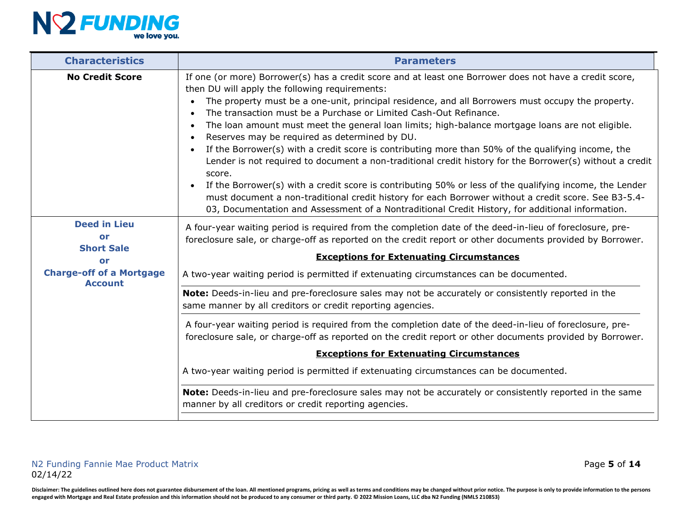

| <b>Characteristics</b>                                                                  | <b>Parameters</b>                                                                                                                                                                                                                                                                                                                                                                                                                                                                                                                                                                                                                                                                                                                                                                                                                                                                                                                                                                                                                                        |  |  |
|-----------------------------------------------------------------------------------------|----------------------------------------------------------------------------------------------------------------------------------------------------------------------------------------------------------------------------------------------------------------------------------------------------------------------------------------------------------------------------------------------------------------------------------------------------------------------------------------------------------------------------------------------------------------------------------------------------------------------------------------------------------------------------------------------------------------------------------------------------------------------------------------------------------------------------------------------------------------------------------------------------------------------------------------------------------------------------------------------------------------------------------------------------------|--|--|
| <b>No Credit Score</b>                                                                  | If one (or more) Borrower(s) has a credit score and at least one Borrower does not have a credit score,<br>then DU will apply the following requirements:<br>The property must be a one-unit, principal residence, and all Borrowers must occupy the property.<br>The transaction must be a Purchase or Limited Cash-Out Refinance.<br>$\bullet$<br>The loan amount must meet the general loan limits; high-balance mortgage loans are not eligible.<br>Reserves may be required as determined by DU.<br>If the Borrower(s) with a credit score is contributing more than 50% of the qualifying income, the<br>Lender is not required to document a non-traditional credit history for the Borrower(s) without a credit<br>score.<br>If the Borrower(s) with a credit score is contributing 50% or less of the qualifying income, the Lender<br>must document a non-traditional credit history for each Borrower without a credit score. See B3-5.4-<br>03, Documentation and Assessment of a Nontraditional Credit History, for additional information. |  |  |
| <b>Deed in Lieu</b><br>or<br><b>Short Sale</b><br>or<br><b>Charge-off of a Mortgage</b> | A four-year waiting period is required from the completion date of the deed-in-lieu of foreclosure, pre-<br>foreclosure sale, or charge-off as reported on the credit report or other documents provided by Borrower.<br><b>Exceptions for Extenuating Circumstances</b><br>A two-year waiting period is permitted if extenuating circumstances can be documented.                                                                                                                                                                                                                                                                                                                                                                                                                                                                                                                                                                                                                                                                                       |  |  |
| <b>Account</b>                                                                          | Note: Deeds-in-lieu and pre-foreclosure sales may not be accurately or consistently reported in the<br>same manner by all creditors or credit reporting agencies.                                                                                                                                                                                                                                                                                                                                                                                                                                                                                                                                                                                                                                                                                                                                                                                                                                                                                        |  |  |
|                                                                                         | A four-year waiting period is required from the completion date of the deed-in-lieu of foreclosure, pre-<br>foreclosure sale, or charge-off as reported on the credit report or other documents provided by Borrower.                                                                                                                                                                                                                                                                                                                                                                                                                                                                                                                                                                                                                                                                                                                                                                                                                                    |  |  |
|                                                                                         | <b>Exceptions for Extenuating Circumstances</b>                                                                                                                                                                                                                                                                                                                                                                                                                                                                                                                                                                                                                                                                                                                                                                                                                                                                                                                                                                                                          |  |  |
|                                                                                         | A two-year waiting period is permitted if extenuating circumstances can be documented.                                                                                                                                                                                                                                                                                                                                                                                                                                                                                                                                                                                                                                                                                                                                                                                                                                                                                                                                                                   |  |  |
|                                                                                         | Note: Deeds-in-lieu and pre-foreclosure sales may not be accurately or consistently reported in the same<br>manner by all creditors or credit reporting agencies.                                                                                                                                                                                                                                                                                                                                                                                                                                                                                                                                                                                                                                                                                                                                                                                                                                                                                        |  |  |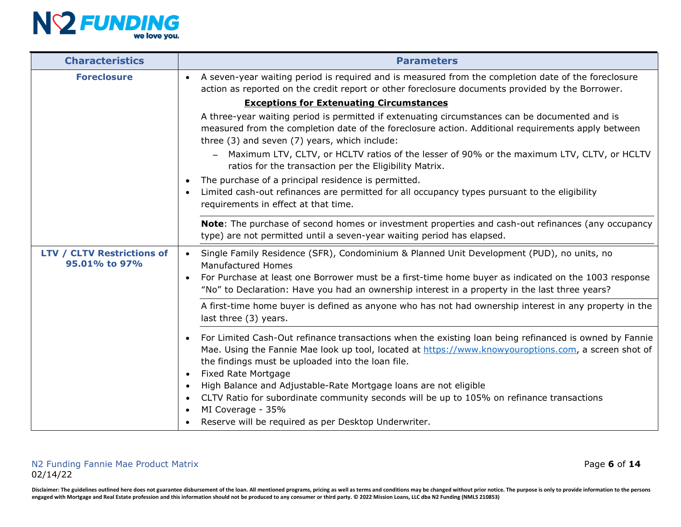

| <b>Characteristics</b>                             | <b>Parameters</b>                                                                                                                                                                                                                                                                                                                                                                                            |  |  |
|----------------------------------------------------|--------------------------------------------------------------------------------------------------------------------------------------------------------------------------------------------------------------------------------------------------------------------------------------------------------------------------------------------------------------------------------------------------------------|--|--|
| <b>Foreclosure</b>                                 | A seven-year waiting period is required and is measured from the completion date of the foreclosure<br>$\bullet$<br>action as reported on the credit report or other foreclosure documents provided by the Borrower.                                                                                                                                                                                         |  |  |
|                                                    | <b>Exceptions for Extenuating Circumstances</b>                                                                                                                                                                                                                                                                                                                                                              |  |  |
|                                                    | A three-year waiting period is permitted if extenuating circumstances can be documented and is<br>measured from the completion date of the foreclosure action. Additional requirements apply between<br>three (3) and seven (7) years, which include:                                                                                                                                                        |  |  |
|                                                    | Maximum LTV, CLTV, or HCLTV ratios of the lesser of 90% or the maximum LTV, CLTV, or HCLTV<br>ratios for the transaction per the Eligibility Matrix.                                                                                                                                                                                                                                                         |  |  |
|                                                    | The purchase of a principal residence is permitted.<br>$\bullet$<br>Limited cash-out refinances are permitted for all occupancy types pursuant to the eligibility<br>$\bullet$<br>requirements in effect at that time.                                                                                                                                                                                       |  |  |
|                                                    | Note: The purchase of second homes or investment properties and cash-out refinances (any occupancy<br>type) are not permitted until a seven-year waiting period has elapsed.                                                                                                                                                                                                                                 |  |  |
| <b>LTV / CLTV Restrictions of</b><br>95.01% to 97% | Single Family Residence (SFR), Condominium & Planned Unit Development (PUD), no units, no<br>$\bullet$<br><b>Manufactured Homes</b>                                                                                                                                                                                                                                                                          |  |  |
|                                                    | For Purchase at least one Borrower must be a first-time home buyer as indicated on the 1003 response<br>$\bullet$<br>"No" to Declaration: Have you had an ownership interest in a property in the last three years?                                                                                                                                                                                          |  |  |
|                                                    | A first-time home buyer is defined as anyone who has not had ownership interest in any property in the<br>last three (3) years.                                                                                                                                                                                                                                                                              |  |  |
|                                                    | For Limited Cash-Out refinance transactions when the existing loan being refinanced is owned by Fannie<br>$\bullet$<br>Mae. Using the Fannie Mae look up tool, located at https://www.knowyouroptions.com, a screen shot of<br>the findings must be uploaded into the loan file.<br><b>Fixed Rate Mortgage</b><br>$\bullet$<br>High Balance and Adjustable-Rate Mortgage loans are not eligible<br>$\bullet$ |  |  |
|                                                    | CLTV Ratio for subordinate community seconds will be up to 105% on refinance transactions<br>$\bullet$<br>MI Coverage - 35%<br>Reserve will be required as per Desktop Underwriter.<br>$\bullet$                                                                                                                                                                                                             |  |  |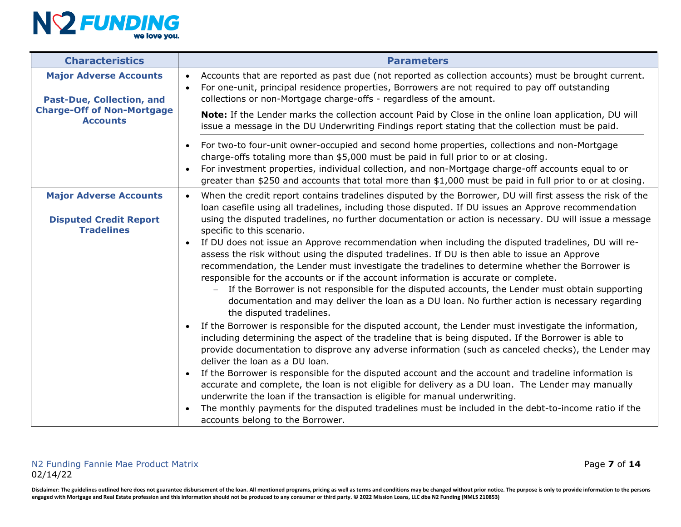

| <b>Characteristics</b>                                                              | <b>Parameters</b>                                                                                                                                                                                                                                                                                                                                                                                                                                                                                                                                                                                                                                                                                                                                                                                                                                                                                                                                                                                               |
|-------------------------------------------------------------------------------------|-----------------------------------------------------------------------------------------------------------------------------------------------------------------------------------------------------------------------------------------------------------------------------------------------------------------------------------------------------------------------------------------------------------------------------------------------------------------------------------------------------------------------------------------------------------------------------------------------------------------------------------------------------------------------------------------------------------------------------------------------------------------------------------------------------------------------------------------------------------------------------------------------------------------------------------------------------------------------------------------------------------------|
| <b>Major Adverse Accounts</b><br><b>Past-Due, Collection, and</b>                   | Accounts that are reported as past due (not reported as collection accounts) must be brought current.<br>$\bullet$<br>For one-unit, principal residence properties, Borrowers are not required to pay off outstanding<br>$\bullet$<br>collections or non-Mortgage charge-offs - regardless of the amount.                                                                                                                                                                                                                                                                                                                                                                                                                                                                                                                                                                                                                                                                                                       |
| <b>Charge-Off of Non-Mortgage</b><br><b>Accounts</b>                                | Note: If the Lender marks the collection account Paid by Close in the online loan application, DU will<br>issue a message in the DU Underwriting Findings report stating that the collection must be paid.                                                                                                                                                                                                                                                                                                                                                                                                                                                                                                                                                                                                                                                                                                                                                                                                      |
|                                                                                     | For two-to four-unit owner-occupied and second home properties, collections and non-Mortgage<br>$\bullet$<br>charge-offs totaling more than \$5,000 must be paid in full prior to or at closing.<br>For investment properties, individual collection, and non-Mortgage charge-off accounts equal to or<br>$\bullet$<br>greater than \$250 and accounts that total more than \$1,000 must be paid in full prior to or at closing.                                                                                                                                                                                                                                                                                                                                                                                                                                                                                                                                                                                |
| <b>Major Adverse Accounts</b><br><b>Disputed Credit Report</b><br><b>Tradelines</b> | When the credit report contains tradelines disputed by the Borrower, DU will first assess the risk of the<br>$\bullet$<br>loan casefile using all tradelines, including those disputed. If DU issues an Approve recommendation<br>using the disputed tradelines, no further documentation or action is necessary. DU will issue a message<br>specific to this scenario.<br>If DU does not issue an Approve recommendation when including the disputed tradelines, DU will re-<br>assess the risk without using the disputed tradelines. If DU is then able to issue an Approve<br>recommendation, the Lender must investigate the tradelines to determine whether the Borrower is<br>responsible for the accounts or if the account information is accurate or complete.<br>If the Borrower is not responsible for the disputed accounts, the Lender must obtain supporting<br>$-$<br>documentation and may deliver the loan as a DU loan. No further action is necessary regarding<br>the disputed tradelines. |
|                                                                                     | If the Borrower is responsible for the disputed account, the Lender must investigate the information,<br>$\bullet$<br>including determining the aspect of the tradeline that is being disputed. If the Borrower is able to<br>provide documentation to disprove any adverse information (such as canceled checks), the Lender may<br>deliver the loan as a DU loan.<br>If the Borrower is responsible for the disputed account and the account and tradeline information is<br>$\bullet$<br>accurate and complete, the loan is not eligible for delivery as a DU loan. The Lender may manually<br>underwrite the loan if the transaction is eligible for manual underwriting.<br>The monthly payments for the disputed tradelines must be included in the debt-to-income ratio if the<br>$\bullet$<br>accounts belong to the Borrower.                                                                                                                                                                          |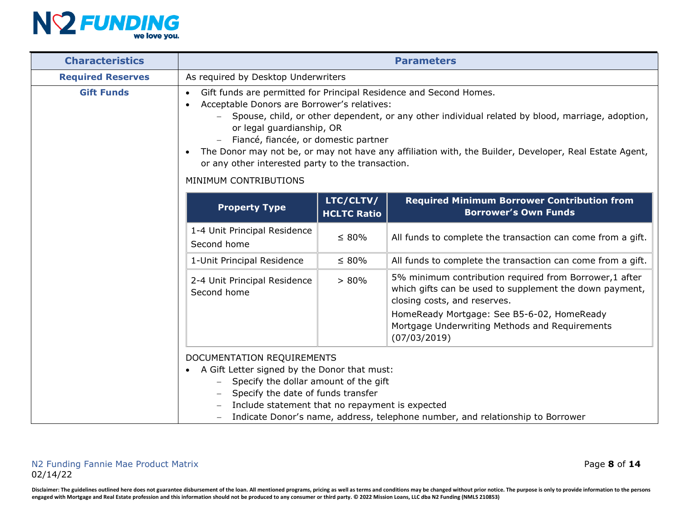

| <b>Characteristics</b><br><b>Parameters</b>                                                                                                  |                                                                                                                                                                                                                                                                                                                                                                                                                                                                                                              |             |                                                                                                                                                                                                                                                                   |  |
|----------------------------------------------------------------------------------------------------------------------------------------------|--------------------------------------------------------------------------------------------------------------------------------------------------------------------------------------------------------------------------------------------------------------------------------------------------------------------------------------------------------------------------------------------------------------------------------------------------------------------------------------------------------------|-------------|-------------------------------------------------------------------------------------------------------------------------------------------------------------------------------------------------------------------------------------------------------------------|--|
| <b>Required Reserves</b>                                                                                                                     | As required by Desktop Underwriters                                                                                                                                                                                                                                                                                                                                                                                                                                                                          |             |                                                                                                                                                                                                                                                                   |  |
| <b>Gift Funds</b>                                                                                                                            | Gift funds are permitted for Principal Residence and Second Homes.<br>$\bullet$<br>Acceptable Donors are Borrower's relatives:<br>$\bullet$<br>Spouse, child, or other dependent, or any other individual related by blood, marriage, adoption,<br>or legal guardianship, OR<br>Fiancé, fiancée, or domestic partner<br>The Donor may not be, or may not have any affiliation with, the Builder, Developer, Real Estate Agent,<br>or any other interested party to the transaction.<br>MINIMUM CONTRIBUTIONS |             |                                                                                                                                                                                                                                                                   |  |
| LTC/CLTV/<br><b>Required Minimum Borrower Contribution from</b><br><b>Property Type</b><br><b>Borrower's Own Funds</b><br><b>HCLTC Ratio</b> |                                                                                                                                                                                                                                                                                                                                                                                                                                                                                                              |             |                                                                                                                                                                                                                                                                   |  |
|                                                                                                                                              | 1-4 Unit Principal Residence<br>Second home                                                                                                                                                                                                                                                                                                                                                                                                                                                                  | $\leq 80\%$ | All funds to complete the transaction can come from a gift.                                                                                                                                                                                                       |  |
|                                                                                                                                              | 1-Unit Principal Residence                                                                                                                                                                                                                                                                                                                                                                                                                                                                                   | $\leq 80\%$ | All funds to complete the transaction can come from a gift.                                                                                                                                                                                                       |  |
|                                                                                                                                              | 2-4 Unit Principal Residence<br>Second home                                                                                                                                                                                                                                                                                                                                                                                                                                                                  | $> 80\%$    | 5% minimum contribution required from Borrower,1 after<br>which gifts can be used to supplement the down payment,<br>closing costs, and reserves.<br>HomeReady Mortgage: See B5-6-02, HomeReady<br>Mortgage Underwriting Methods and Requirements<br>(07/03/2019) |  |
|                                                                                                                                              | DOCUMENTATION REQUIREMENTS<br>A Gift Letter signed by the Donor that must:<br>Specify the dollar amount of the gift<br>Specify the date of funds transfer<br>Include statement that no repayment is expected                                                                                                                                                                                                                                                                                                 |             | Indicate Donor's name, address, telephone number, and relationship to Borrower                                                                                                                                                                                    |  |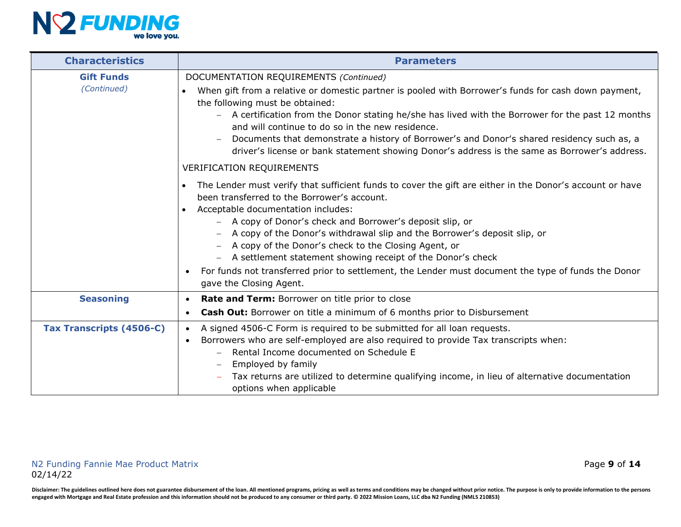

| <b>Characteristics</b>          | <b>Parameters</b>                                                                                                                                                                                                                                                                                                                                                                                                                                                                                                                                                           |  |  |  |
|---------------------------------|-----------------------------------------------------------------------------------------------------------------------------------------------------------------------------------------------------------------------------------------------------------------------------------------------------------------------------------------------------------------------------------------------------------------------------------------------------------------------------------------------------------------------------------------------------------------------------|--|--|--|
| <b>Gift Funds</b>               | DOCUMENTATION REQUIREMENTS (Continued)                                                                                                                                                                                                                                                                                                                                                                                                                                                                                                                                      |  |  |  |
| (Continued)                     | When gift from a relative or domestic partner is pooled with Borrower's funds for cash down payment,<br>the following must be obtained:<br>- A certification from the Donor stating he/she has lived with the Borrower for the past 12 months<br>and will continue to do so in the new residence.<br>Documents that demonstrate a history of Borrower's and Donor's shared residency such as, a<br>driver's license or bank statement showing Donor's address is the same as Borrower's address.                                                                            |  |  |  |
|                                 | <b>VERIFICATION REQUIREMENTS</b>                                                                                                                                                                                                                                                                                                                                                                                                                                                                                                                                            |  |  |  |
|                                 | The Lender must verify that sufficient funds to cover the gift are either in the Donor's account or have<br>been transferred to the Borrower's account.<br>Acceptable documentation includes:<br>- A copy of Donor's check and Borrower's deposit slip, or<br>- A copy of the Donor's withdrawal slip and the Borrower's deposit slip, or<br>- A copy of the Donor's check to the Closing Agent, or<br>- A settlement statement showing receipt of the Donor's check<br>For funds not transferred prior to settlement, the Lender must document the type of funds the Donor |  |  |  |
|                                 | gave the Closing Agent.                                                                                                                                                                                                                                                                                                                                                                                                                                                                                                                                                     |  |  |  |
| <b>Seasoning</b>                | <b>Rate and Term:</b> Borrower on title prior to close<br>$\bullet$                                                                                                                                                                                                                                                                                                                                                                                                                                                                                                         |  |  |  |
|                                 | <b>Cash Out:</b> Borrower on title a minimum of 6 months prior to Disbursement<br>$\bullet$                                                                                                                                                                                                                                                                                                                                                                                                                                                                                 |  |  |  |
| <b>Tax Transcripts (4506-C)</b> | A signed 4506-C Form is required to be submitted for all loan requests.<br>$\bullet$<br>Borrowers who are self-employed are also required to provide Tax transcripts when:<br>$\bullet$<br>Rental Income documented on Schedule E<br>Employed by family<br>Tax returns are utilized to determine qualifying income, in lieu of alternative documentation<br>options when applicable                                                                                                                                                                                         |  |  |  |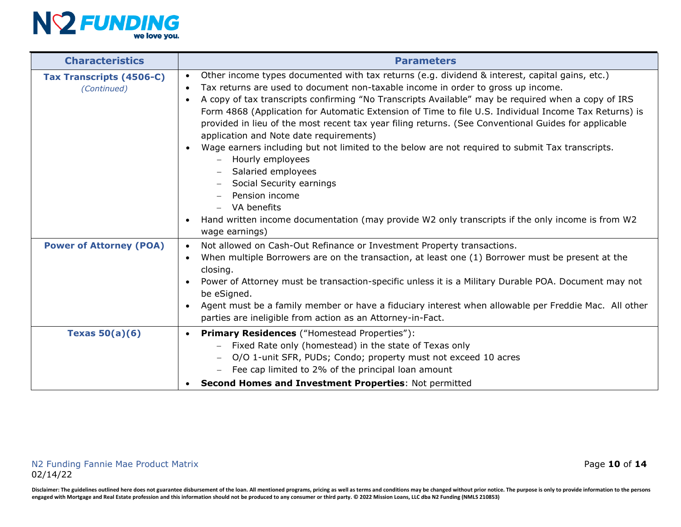

| <b>Characteristics</b>                         | <b>Parameters</b>                                                                                                                                                                                                                                                                                                                                                                                                                                                                                                                                                                                                                                                                                                                                                                                                                                                                                                                              |
|------------------------------------------------|------------------------------------------------------------------------------------------------------------------------------------------------------------------------------------------------------------------------------------------------------------------------------------------------------------------------------------------------------------------------------------------------------------------------------------------------------------------------------------------------------------------------------------------------------------------------------------------------------------------------------------------------------------------------------------------------------------------------------------------------------------------------------------------------------------------------------------------------------------------------------------------------------------------------------------------------|
| <b>Tax Transcripts (4506-C)</b><br>(Continued) | Other income types documented with tax returns (e.g. dividend & interest, capital gains, etc.)<br>$\bullet$<br>Tax returns are used to document non-taxable income in order to gross up income.<br>$\bullet$<br>A copy of tax transcripts confirming "No Transcripts Available" may be required when a copy of IRS<br>$\bullet$<br>Form 4868 (Application for Automatic Extension of Time to file U.S. Individual Income Tax Returns) is<br>provided in lieu of the most recent tax year filing returns. (See Conventional Guides for applicable<br>application and Note date requirements)<br>Wage earners including but not limited to the below are not required to submit Tax transcripts.<br>- Hourly employees<br>Salaried employees<br>Social Security earnings<br>Pension income<br>$-$ VA benefits<br>Hand written income documentation (may provide W2 only transcripts if the only income is from W2<br>$\bullet$<br>wage earnings) |
| <b>Power of Attorney (POA)</b>                 | Not allowed on Cash-Out Refinance or Investment Property transactions.<br>$\bullet$<br>When multiple Borrowers are on the transaction, at least one (1) Borrower must be present at the<br>$\bullet$<br>closing.<br>Power of Attorney must be transaction-specific unless it is a Military Durable POA. Document may not<br>$\bullet$<br>be eSigned.<br>Agent must be a family member or have a fiduciary interest when allowable per Freddie Mac. All other<br>$\bullet$<br>parties are ineligible from action as an Attorney-in-Fact.                                                                                                                                                                                                                                                                                                                                                                                                        |
| Texas $50(a)(6)$                               | <b>Primary Residences</b> ("Homestead Properties"):<br>$\bullet$<br>Fixed Rate only (homestead) in the state of Texas only<br>O/O 1-unit SFR, PUDs; Condo; property must not exceed 10 acres<br>Fee cap limited to 2% of the principal loan amount<br>Second Homes and Investment Properties: Not permitted                                                                                                                                                                                                                                                                                                                                                                                                                                                                                                                                                                                                                                    |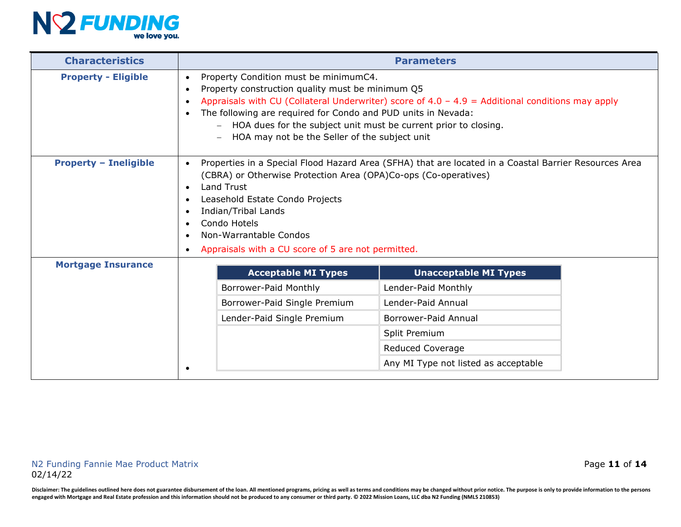

| <b>Characteristics</b>       | <b>Parameters</b>                                                                                                                                                                                                                                                                                                                                                                                                                                  |                              |  |  |  |
|------------------------------|----------------------------------------------------------------------------------------------------------------------------------------------------------------------------------------------------------------------------------------------------------------------------------------------------------------------------------------------------------------------------------------------------------------------------------------------------|------------------------------|--|--|--|
| <b>Property - Eligible</b>   | Property Condition must be minimumC4.<br>$\bullet$<br>Property construction quality must be minimum Q5<br>$\bullet$<br>Appraisals with CU (Collateral Underwriter) score of $4.0 - 4.9 =$ Additional conditions may apply<br>$\bullet$<br>The following are required for Condo and PUD units in Nevada:<br>$\bullet$<br>HOA dues for the subject unit must be current prior to closing.<br>HOA may not be the Seller of the subject unit           |                              |  |  |  |
| <b>Property - Ineligible</b> | Properties in a Special Flood Hazard Area (SFHA) that are located in a Coastal Barrier Resources Area<br>$\bullet$<br>(CBRA) or Otherwise Protection Area (OPA)Co-ops (Co-operatives)<br><b>Land Trust</b><br>$\bullet$<br>Leasehold Estate Condo Projects<br>$\bullet$<br>Indian/Tribal Lands<br>$\bullet$<br>Condo Hotels<br>$\bullet$<br>Non-Warrantable Condos<br>$\bullet$<br>Appraisals with a CU score of 5 are not permitted.<br>$\bullet$ |                              |  |  |  |
| <b>Mortgage Insurance</b>    | <b>Acceptable MI Types</b>                                                                                                                                                                                                                                                                                                                                                                                                                         | <b>Unacceptable MI Types</b> |  |  |  |
|                              | Borrower-Paid Monthly                                                                                                                                                                                                                                                                                                                                                                                                                              | Lender-Paid Monthly          |  |  |  |
|                              | Borrower-Paid Single Premium<br>Lender-Paid Annual                                                                                                                                                                                                                                                                                                                                                                                                 |                              |  |  |  |
|                              | Lender-Paid Single Premium                                                                                                                                                                                                                                                                                                                                                                                                                         | Borrower-Paid Annual         |  |  |  |
|                              |                                                                                                                                                                                                                                                                                                                                                                                                                                                    | Split Premium                |  |  |  |
|                              |                                                                                                                                                                                                                                                                                                                                                                                                                                                    | Reduced Coverage             |  |  |  |
|                              | Any MI Type not listed as acceptable                                                                                                                                                                                                                                                                                                                                                                                                               |                              |  |  |  |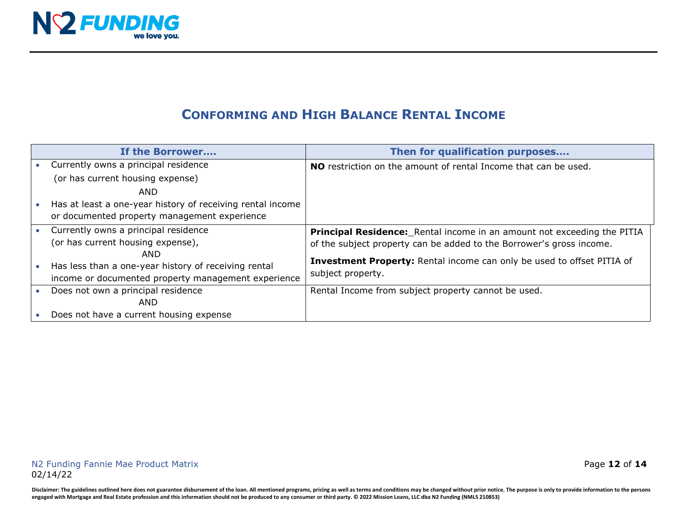

## **CONFORMING AND HIGH BALANCE RENTAL INCOME**

| If the Borrower                                            | Then for qualification purposes                                               |
|------------------------------------------------------------|-------------------------------------------------------------------------------|
| Currently owns a principal residence                       | <b>NO</b> restriction on the amount of rental Income that can be used.        |
| (or has current housing expense)                           |                                                                               |
| AND                                                        |                                                                               |
| Has at least a one-year history of receiving rental income |                                                                               |
| or documented property management experience               |                                                                               |
| Currently owns a principal residence                       | Principal Residence: Rental income in an amount not exceeding the PITIA       |
| (or has current housing expense),                          | of the subject property can be added to the Borrower's gross income.          |
| AND                                                        | <b>Investment Property:</b> Rental income can only be used to offset PITIA of |
| Has less than a one-year history of receiving rental       | subject property.                                                             |
| income or documented property management experience        |                                                                               |
| Does not own a principal residence                         | Rental Income from subject property cannot be used.                           |
| AND                                                        |                                                                               |
| Does not have a current housing expense                    |                                                                               |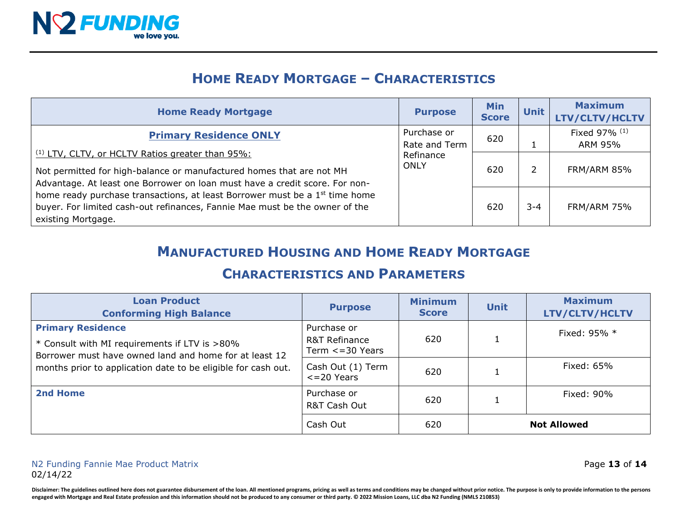

## **HOME READY MORTGAGE – CHARACTERISTICS**

| <b>Home Ready Mortgage</b>                                                                                                                                                                                                              | <b>Purpose</b>               | <b>Min</b><br><b>Score</b> | <b>Unit</b> | <b>Maximum</b><br>LTV/CLTV/HCLTV |
|-----------------------------------------------------------------------------------------------------------------------------------------------------------------------------------------------------------------------------------------|------------------------------|----------------------------|-------------|----------------------------------|
| <b>Primary Residence ONLY</b>                                                                                                                                                                                                           | Purchase or<br>Rate and Term | 620                        |             | Fixed 97% (1)<br>ARM 95%         |
| <sup>(1)</sup> LTV, CLTV, or HCLTV Ratios greater than 95%:<br>Refinance<br>ONLY<br>Not permitted for high-balance or manufactured homes that are not MH<br>Advantage. At least one Borrower on loan must have a credit score. For non- | 620                          |                            | FRM/ARM 85% |                                  |
| home ready purchase transactions, at least Borrower must be a 1 <sup>st</sup> time home<br>buyer. For limited cash-out refinances, Fannie Mae must be the owner of the<br>existing Mortgage.                                            |                              | 620                        | $3 - 4$     | <b>FRM/ARM 75%</b>               |

## **MANUFACTURED HOUSING AND HOME READY MORTGAGE**

#### **CHARACTERISTICS AND PARAMETERS**

| <b>Loan Product</b><br><b>Conforming High Balance</b>                                                                                                                                                | <b>Purpose</b>                                         | <b>Minimum</b><br><b>Score</b> | <b>Unit</b> | <b>Maximum</b><br>LTV/CLTV/HCLTV |
|------------------------------------------------------------------------------------------------------------------------------------------------------------------------------------------------------|--------------------------------------------------------|--------------------------------|-------------|----------------------------------|
| <b>Primary Residence</b><br>* Consult with MI requirements if LTV is >80%<br>Borrower must have owned land and home for at least 12<br>months prior to application date to be eligible for cash out. | Purchase or<br>R&T Refinance<br>Term $\leq$ = 30 Years | 620                            |             | Fixed: 95% *                     |
|                                                                                                                                                                                                      | Cash Out (1) Term<br>$<=$ 20 Years                     | 620                            |             | Fixed: 65%                       |
| 2nd Home                                                                                                                                                                                             | Purchase or<br>R&T Cash Out                            | 620                            |             | Fixed: 90%                       |
|                                                                                                                                                                                                      | Cash Out                                               | 620                            |             | <b>Not Allowed</b>               |